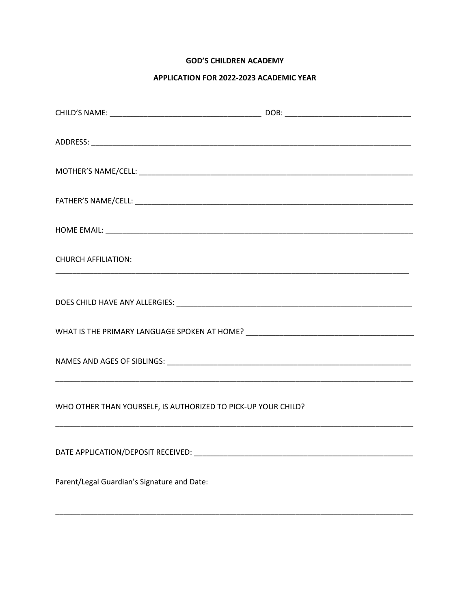# **GOD'S CHILDREN ACADEMY**

## APPLICATION FOR 2022-2023 ACADEMIC YEAR

| <b>CHURCH AFFILIATION:</b>                                                       |  |
|----------------------------------------------------------------------------------|--|
|                                                                                  |  |
| WHAT IS THE PRIMARY LANGUAGE SPOKEN AT HOME? ___________________________________ |  |
|                                                                                  |  |
| WHO OTHER THAN YOURSELF, IS AUTHORIZED TO PICK-UP YOUR CHILD?                    |  |
|                                                                                  |  |
| Parent/Legal Guardian's Signature and Date:                                      |  |
|                                                                                  |  |